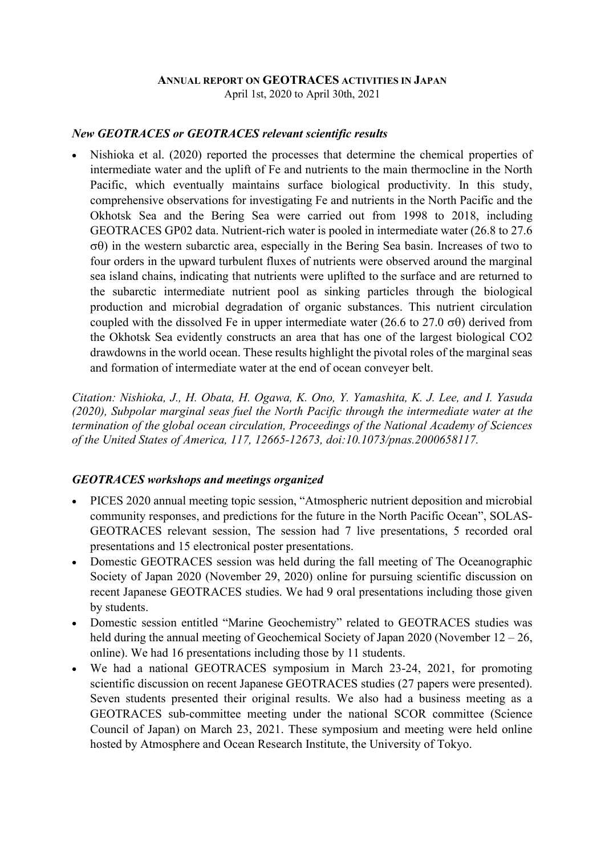#### ANNUAL REPORT ON GEOTRACES ACTIVITIES IN JAPAN

April 1st, 2020 to April 30th, 2021

### New GEOTRACES or GEOTRACES relevant scientific results

 Nishioka et al. (2020) reported the processes that determine the chemical properties of intermediate water and the uplift of Fe and nutrients to the main thermocline in the North Pacific, which eventually maintains surface biological productivity. In this study, comprehensive observations for investigating Fe and nutrients in the North Pacific and the Okhotsk Sea and the Bering Sea were carried out from 1998 to 2018, including GEOTRACES GP02 data. Nutrient-rich water is pooled in intermediate water (26.8 to 27.6  $\sigma(\theta)$  in the western subarctic area, especially in the Bering Sea basin. Increases of two to four orders in the upward turbulent fluxes of nutrients were observed around the marginal sea island chains, indicating that nutrients were uplifted to the surface and are returned to the subarctic intermediate nutrient pool as sinking particles through the biological production and microbial degradation of organic substances. This nutrient circulation coupled with the dissolved Fe in upper intermediate water (26.6 to 27.0  $\sigma\theta$ ) derived from the Okhotsk Sea evidently constructs an area that has one of the largest biological CO2 drawdowns in the world ocean. These results highlight the pivotal roles of the marginal seas and formation of intermediate water at the end of ocean conveyer belt.

Citation: Nishioka, J., H. Obata, H. Ogawa, K. Ono, Y. Yamashita, K. J. Lee, and I. Yasuda (2020), Subpolar marginal seas fuel the North Pacific through the intermediate water at the termination of the global ocean circulation, Proceedings of the National Academy of Sciences of the United States of America, 117, 12665-12673, doi:10.1073/pnas.2000658117.

### GEOTRACES workshops and meetings organized

- PICES 2020 annual meeting topic session, "Atmospheric nutrient deposition and microbial community responses, and predictions for the future in the North Pacific Ocean", SOLAS-GEOTRACES relevant session, The session had 7 live presentations, 5 recorded oral presentations and 15 electronical poster presentations.
- Domestic GEOTRACES session was held during the fall meeting of The Oceanographic Society of Japan 2020 (November 29, 2020) online for pursuing scientific discussion on recent Japanese GEOTRACES studies. We had 9 oral presentations including those given by students.
- Domestic session entitled "Marine Geochemistry" related to GEOTRACES studies was held during the annual meeting of Geochemical Society of Japan 2020 (November 12 – 26, online). We had 16 presentations including those by 11 students.
- We had a national GEOTRACES symposium in March 23-24, 2021, for promoting scientific discussion on recent Japanese GEOTRACES studies (27 papers were presented). Seven students presented their original results. We also had a business meeting as a GEOTRACES sub-committee meeting under the national SCOR committee (Science Council of Japan) on March 23, 2021. These symposium and meeting were held online hosted by Atmosphere and Ocean Research Institute, the University of Tokyo.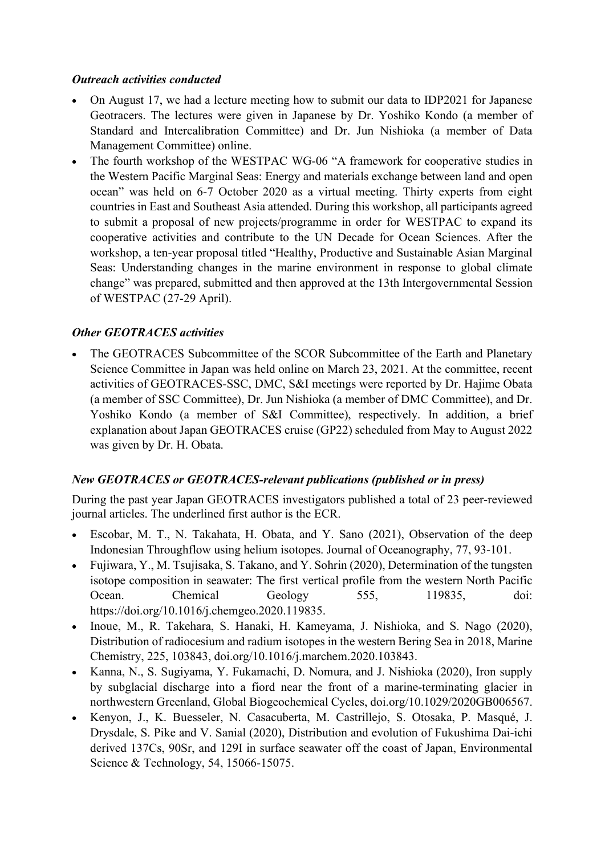### Outreach activities conducted

- On August 17, we had a lecture meeting how to submit our data to IDP2021 for Japanese Geotracers. The lectures were given in Japanese by Dr. Yoshiko Kondo (a member of Standard and Intercalibration Committee) and Dr. Jun Nishioka (a member of Data Management Committee) online.
- The fourth workshop of the WESTPAC WG-06 "A framework for cooperative studies in the Western Pacific Marginal Seas: Energy and materials exchange between land and open ocean" was held on 6-7 October 2020 as a virtual meeting. Thirty experts from eight countries in East and Southeast Asia attended. During this workshop, all participants agreed to submit a proposal of new projects/programme in order for WESTPAC to expand its cooperative activities and contribute to the UN Decade for Ocean Sciences. After the workshop, a ten-year proposal titled "Healthy, Productive and Sustainable Asian Marginal Seas: Understanding changes in the marine environment in response to global climate change" was prepared, submitted and then approved at the 13th Intergovernmental Session of WESTPAC (27-29 April).

# Other GEOTRACES activities

 The GEOTRACES Subcommittee of the SCOR Subcommittee of the Earth and Planetary Science Committee in Japan was held online on March 23, 2021. At the committee, recent activities of GEOTRACES-SSC, DMC, S&I meetings were reported by Dr. Hajime Obata (a member of SSC Committee), Dr. Jun Nishioka (a member of DMC Committee), and Dr. Yoshiko Kondo (a member of S&I Committee), respectively. In addition, a brief explanation about Japan GEOTRACES cruise (GP22) scheduled from May to August 2022 was given by Dr. H. Obata.

# New GEOTRACES or GEOTRACES-relevant publications (published or in press)

During the past year Japan GEOTRACES investigators published a total of 23 peer-reviewed journal articles. The underlined first author is the ECR.

- Escobar, M. T., N. Takahata, H. Obata, and Y. Sano (2021), Observation of the deep Indonesian Throughflow using helium isotopes. Journal of Oceanography, 77, 93-101.
- Fujiwara, Y., M. Tsujisaka, S. Takano, and Y. Sohrin (2020), Determination of the tungsten isotope composition in seawater: The first vertical profile from the western North Pacific Ocean. Chemical Geology 555, 119835, doi: https://doi.org/10.1016/j.chemgeo.2020.119835.
- Inoue, M., R. Takehara, S. Hanaki, H. Kameyama, J. Nishioka, and S. Nago (2020), Distribution of radiocesium and radium isotopes in the western Bering Sea in 2018, Marine Chemistry, 225, 103843, doi.org/10.1016/j.marchem.2020.103843.
- Kanna, N., S. Sugiyama, Y. Fukamachi, D. Nomura, and J. Nishioka (2020), Iron supply by subglacial discharge into a fiord near the front of a marine-terminating glacier in northwestern Greenland, Global Biogeochemical Cycles, doi.org/10.1029/2020GB006567.
- Kenyon, J., K. Buesseler, N. Casacuberta, M. Castrillejo, S. Otosaka, P. Masqué, J. Drysdale, S. Pike and V. Sanial (2020), Distribution and evolution of Fukushima Dai-ichi derived 137Cs, 90Sr, and 129I in surface seawater off the coast of Japan, Environmental Science & Technology, 54, 15066-15075.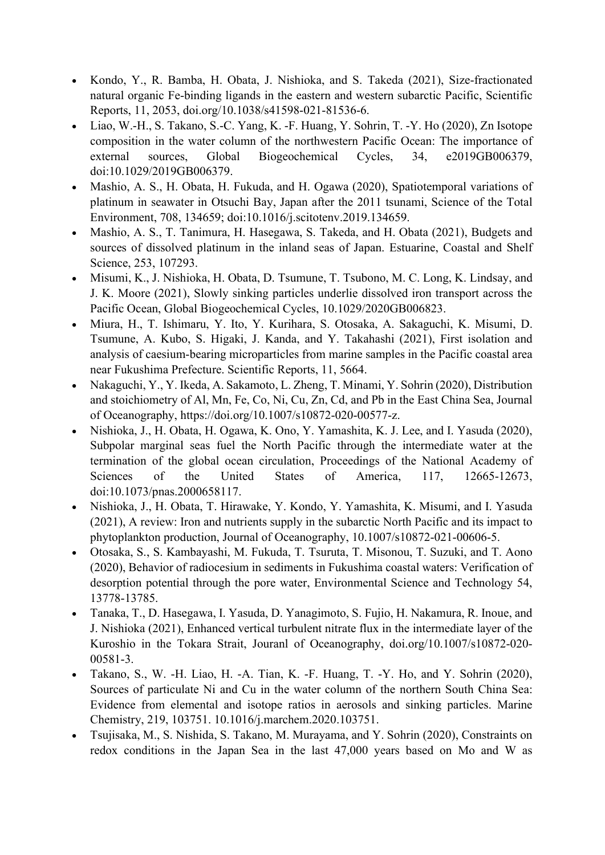- Kondo, Y., R. Bamba, H. Obata, J. Nishioka, and S. Takeda (2021), Size-fractionated natural organic Fe-binding ligands in the eastern and western subarctic Pacific, Scientific Reports, 11, 2053, doi.org/10.1038/s41598-021-81536-6.
- Liao, W.-H., S. Takano, S.-C. Yang, K. -F. Huang, Y. Sohrin, T. -Y. Ho (2020), Zn Isotope composition in the water column of the northwestern Pacific Ocean: The importance of external sources, Global Biogeochemical Cycles, 34, e2019GB006379, doi:10.1029/2019GB006379.
- Mashio, A. S., H. Obata, H. Fukuda, and H. Ogawa (2020), Spatiotemporal variations of platinum in seawater in Otsuchi Bay, Japan after the 2011 tsunami, Science of the Total Environment, 708, 134659; doi:10.1016/j.scitotenv.2019.134659.
- Mashio, A. S., T. Tanimura, H. Hasegawa, S. Takeda, and H. Obata (2021), Budgets and sources of dissolved platinum in the inland seas of Japan. Estuarine, Coastal and Shelf Science, 253, 107293.
- Misumi, K., J. Nishioka, H. Obata, D. Tsumune, T. Tsubono, M. C. Long, K. Lindsay, and J. K. Moore (2021), Slowly sinking particles underlie dissolved iron transport across the Pacific Ocean, Global Biogeochemical Cycles, 10.1029/2020GB006823.
- Miura, H., T. Ishimaru, Y. Ito, Y. Kurihara, S. Otosaka, A. Sakaguchi, K. Misumi, D. Tsumune, A. Kubo, S. Higaki, J. Kanda, and Y. Takahashi (2021), First isolation and analysis of caesium-bearing microparticles from marine samples in the Pacific coastal area near Fukushima Prefecture. Scientific Reports, 11, 5664.
- Nakaguchi, Y., Y. Ikeda, A. Sakamoto, L. Zheng, T. Minami, Y. Sohrin (2020), Distribution and stoichiometry of Al, Mn, Fe, Co, Ni, Cu, Zn, Cd, and Pb in the East China Sea, Journal of Oceanography, https://doi.org/10.1007/s10872-020-00577-z.
- Nishioka, J., H. Obata, H. Ogawa, K. Ono, Y. Yamashita, K. J. Lee, and I. Yasuda (2020), Subpolar marginal seas fuel the North Pacific through the intermediate water at the termination of the global ocean circulation, Proceedings of the National Academy of Sciences of the United States of America, 117, 12665-12673, doi:10.1073/pnas.2000658117.
- Nishioka, J., H. Obata, T. Hirawake, Y. Kondo, Y. Yamashita, K. Misumi, and I. Yasuda (2021), A review: Iron and nutrients supply in the subarctic North Pacific and its impact to phytoplankton production, Journal of Oceanography, 10.1007/s10872-021-00606-5.
- Otosaka, S., S. Kambayashi, M. Fukuda, T. Tsuruta, T. Misonou, T. Suzuki, and T. Aono (2020), Behavior of radiocesium in sediments in Fukushima coastal waters: Verification of desorption potential through the pore water, Environmental Science and Technology 54, 13778-13785.
- Tanaka, T., D. Hasegawa, I. Yasuda, D. Yanagimoto, S. Fujio, H. Nakamura, R. Inoue, and J. Nishioka (2021), Enhanced vertical turbulent nitrate flux in the intermediate layer of the Kuroshio in the Tokara Strait, Jouranl of Oceanography, doi.org/10.1007/s10872-020- 00581-3.
- Takano, S., W. -H. Liao, H. -A. Tian, K. -F. Huang, T. -Y. Ho, and Y. Sohrin (2020), Sources of particulate Ni and Cu in the water column of the northern South China Sea: Evidence from elemental and isotope ratios in aerosols and sinking particles. Marine Chemistry, 219, 103751. 10.1016/j.marchem.2020.103751.
- Tsujisaka, M., S. Nishida, S. Takano, M. Murayama, and Y. Sohrin (2020), Constraints on redox conditions in the Japan Sea in the last 47,000 years based on Mo and W as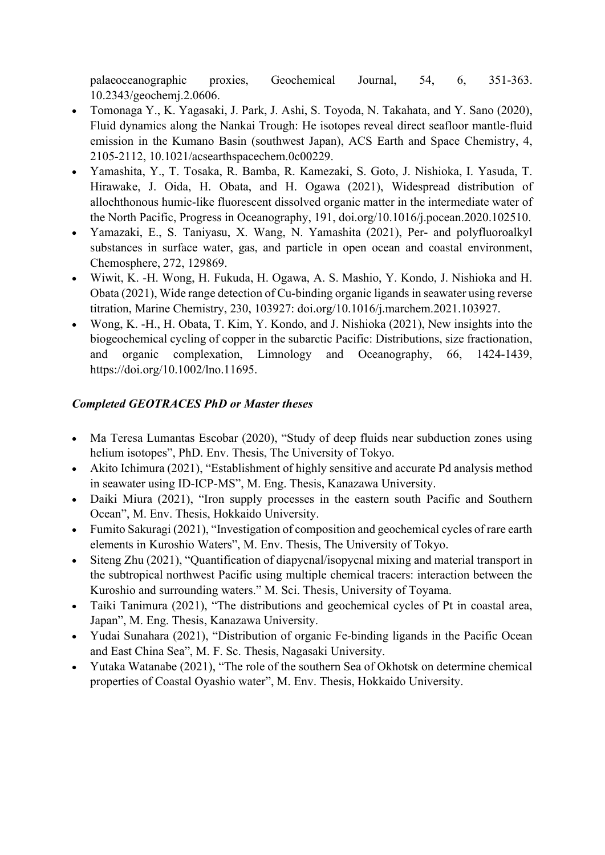palaeoceanographic proxies, Geochemical Journal, 54, 6, 351-363. 10.2343/geochemj.2.0606.

- Tomonaga Y., K. Yagasaki, J. Park, J. Ashi, S. Toyoda, N. Takahata, and Y. Sano (2020), Fluid dynamics along the Nankai Trough: He isotopes reveal direct seafloor mantle-fluid emission in the Kumano Basin (southwest Japan), ACS Earth and Space Chemistry, 4, 2105-2112, 10.1021/acsearthspacechem.0c00229.
- Yamashita, Y., T. Tosaka, R. Bamba, R. Kamezaki, S. Goto, J. Nishioka, I. Yasuda, T. Hirawake, J. Oida, H. Obata, and H. Ogawa (2021), Widespread distribution of allochthonous humic-like fluorescent dissolved organic matter in the intermediate water of the North Pacific, Progress in Oceanography, 191, doi.org/10.1016/j.pocean.2020.102510.
- Yamazaki, E., S. Taniyasu, X. Wang, N. Yamashita (2021), Per- and polyfluoroalkyl substances in surface water, gas, and particle in open ocean and coastal environment, Chemosphere, 272, 129869.
- Wiwit, K. -H. Wong, H. Fukuda, H. Ogawa, A. S. Mashio, Y. Kondo, J. Nishioka and H. Obata (2021), Wide range detection of Cu-binding organic ligands in seawater using reverse titration, Marine Chemistry, 230, 103927: doi.org/10.1016/j.marchem.2021.103927.
- Wong, K. -H., H. Obata, T. Kim, Y. Kondo, and J. Nishioka (2021), New insights into the biogeochemical cycling of copper in the subarctic Pacific: Distributions, size fractionation, and organic complexation, Limnology and Oceanography, 66, 1424-1439, https://doi.org/10.1002/lno.11695.

# Completed GEOTRACES PhD or Master theses

- Ma Teresa Lumantas Escobar (2020), "Study of deep fluids near subduction zones using helium isotopes", PhD. Env. Thesis, The University of Tokyo.
- Akito Ichimura (2021), "Establishment of highly sensitive and accurate Pd analysis method in seawater using ID-ICP-MS", M. Eng. Thesis, Kanazawa University.
- Daiki Miura (2021), "Iron supply processes in the eastern south Pacific and Southern Ocean", M. Env. Thesis, Hokkaido University.
- Fumito Sakuragi (2021), "Investigation of composition and geochemical cycles of rare earth elements in Kuroshio Waters", M. Env. Thesis, The University of Tokyo.
- Siteng Zhu (2021), "Quantification of diapycnal/isopycnal mixing and material transport in the subtropical northwest Pacific using multiple chemical tracers: interaction between the Kuroshio and surrounding waters." M. Sci. Thesis, University of Toyama.
- Taiki Tanimura (2021), "The distributions and geochemical cycles of Pt in coastal area, Japan", M. Eng. Thesis, Kanazawa University.
- Yudai Sunahara (2021), "Distribution of organic Fe-binding ligands in the Pacific Ocean and East China Sea", M. F. Sc. Thesis, Nagasaki University.
- Yutaka Watanabe (2021), "The role of the southern Sea of Okhotsk on determine chemical properties of Coastal Oyashio water", M. Env. Thesis, Hokkaido University.